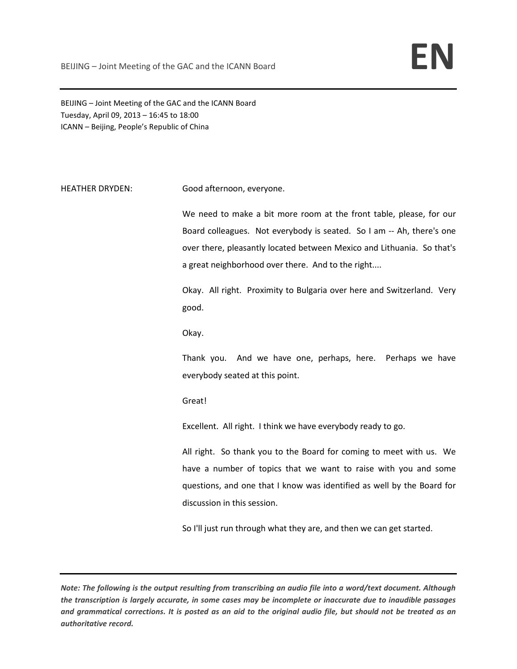BEIJING – Joint Meeting of the GAC and the ICANN Board Tuesday, April 09, 2013 – 16:45 to 18:00 ICANN – Beijing, People's Republic of China

## HEATHER DRYDEN: Good afternoon, everyone.

We need to make a bit more room at the front table, please, for our Board colleagues. Not everybody is seated. So I am -- Ah, there's one over there, pleasantly located between Mexico and Lithuania. So that's a great neighborhood over there. And to the right....

Okay. All right. Proximity to Bulgaria over here and Switzerland. Very good.

Okay.

Thank you. And we have one, perhaps, here. Perhaps we have everybody seated at this point.

Great!

Excellent. All right. I think we have everybody ready to go.

All right. So thank you to the Board for coming to meet with us. We have a number of topics that we want to raise with you and some questions, and one that I know was identified as well by the Board for discussion in this session.

So I'll just run through what they are, and then we can get started.

*Note: The following is the output resulting from transcribing an audio file into a word/text document. Although the transcription is largely accurate, in some cases may be incomplete or inaccurate due to inaudible passages and grammatical corrections. It is posted as an aid to the original audio file, but should not be treated as an authoritative record.*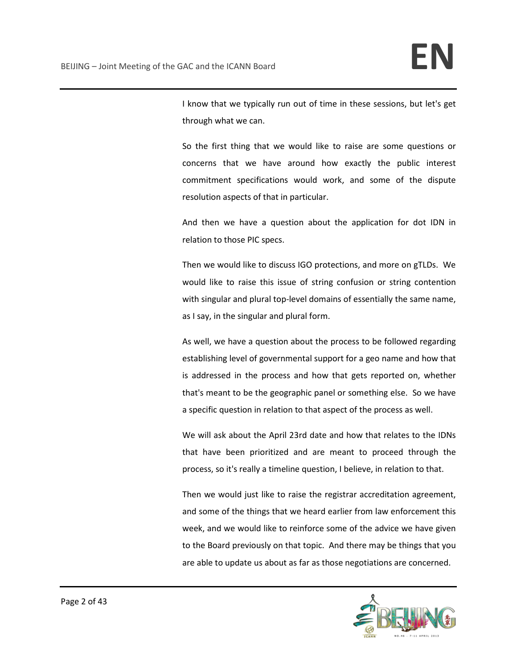I know that we typically run out of time in these sessions, but let's get through what we can.

So the first thing that we would like to raise are some questions or concerns that we have around how exactly the public interest commitment specifications would work, and some of the dispute resolution aspects of that in particular.

And then we have a question about the application for dot IDN in relation to those PIC specs.

Then we would like to discuss IGO protections, and more on gTLDs. We would like to raise this issue of string confusion or string contention with singular and plural top-level domains of essentially the same name, as I say, in the singular and plural form.

As well, we have a question about the process to be followed regarding establishing level of governmental support for a geo name and how that is addressed in the process and how that gets reported on, whether that's meant to be the geographic panel or something else. So we have a specific question in relation to that aspect of the process as well.

We will ask about the April 23rd date and how that relates to the IDNs that have been prioritized and are meant to proceed through the process, so it's really a timeline question, I believe, in relation to that.

Then we would just like to raise the registrar accreditation agreement, and some of the things that we heard earlier from law enforcement this week, and we would like to reinforce some of the advice we have given to the Board previously on that topic. And there may be things that you are able to update us about as far as those negotiations are concerned.

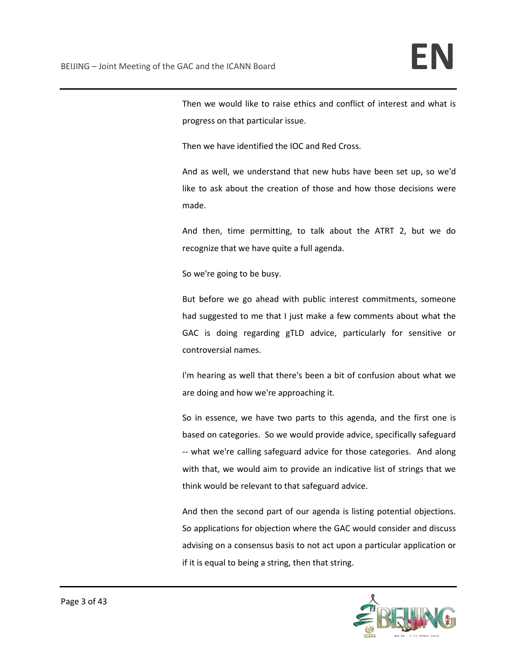Then we would like to raise ethics and conflict of interest and what is progress on that particular issue.

Then we have identified the IOC and Red Cross.

And as well, we understand that new hubs have been set up, so we'd like to ask about the creation of those and how those decisions were made.

And then, time permitting, to talk about the ATRT 2, but we do recognize that we have quite a full agenda.

So we're going to be busy.

But before we go ahead with public interest commitments, someone had suggested to me that I just make a few comments about what the GAC is doing regarding gTLD advice, particularly for sensitive or controversial names.

I'm hearing as well that there's been a bit of confusion about what we are doing and how we're approaching it.

So in essence, we have two parts to this agenda, and the first one is based on categories. So we would provide advice, specifically safeguard -- what we're calling safeguard advice for those categories. And along with that, we would aim to provide an indicative list of strings that we think would be relevant to that safeguard advice.

And then the second part of our agenda is listing potential objections. So applications for objection where the GAC would consider and discuss advising on a consensus basis to not act upon a particular application or if it is equal to being a string, then that string.

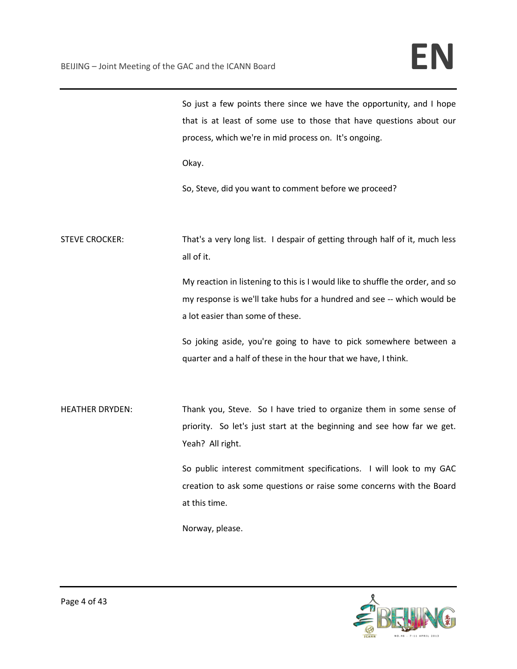| So just a few points there since we have the opportunity, and I hope |
|----------------------------------------------------------------------|
| that is at least of some use to those that have questions about our  |
| process, which we're in mid process on. It's ongoing.                |

Okay.

So, Steve, did you want to comment before we proceed?

STEVE CROCKER: That's a very long list. I despair of getting through half of it, much less all of it.

> My reaction in listening to this is I would like to shuffle the order, and so my response is we'll take hubs for a hundred and see -- which would be a lot easier than some of these.

> So joking aside, you're going to have to pick somewhere between a quarter and a half of these in the hour that we have, I think.

HEATHER DRYDEN: Thank you, Steve. So I have tried to organize them in some sense of priority. So let's just start at the beginning and see how far we get. Yeah? All right.

> So public interest commitment specifications. I will look to my GAC creation to ask some questions or raise some concerns with the Board at this time.

Norway, please.

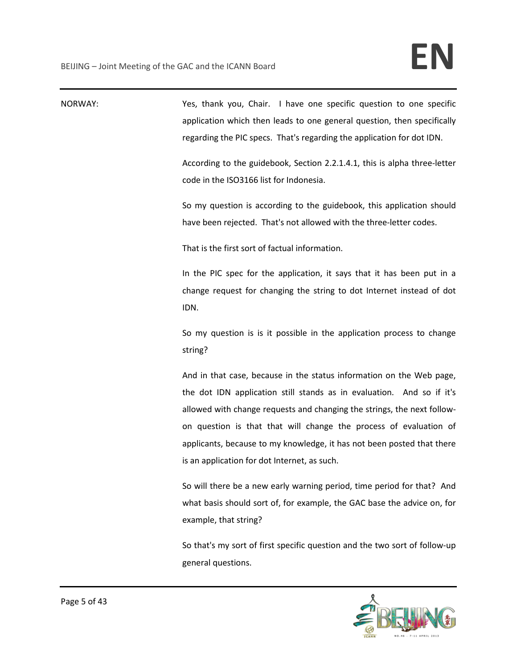| NORWAY: | Yes, thank you, Chair. I have one specific question to one specific<br>application which then leads to one general question, then specifically<br>regarding the PIC specs. That's regarding the application for dot IDN.<br>According to the guidebook, Section 2.2.1.4.1, this is alpha three-letter<br>code in the ISO3166 list for Indonesia.<br>So my question is according to the guidebook, this application should<br>have been rejected. That's not allowed with the three-letter codes. |
|---------|--------------------------------------------------------------------------------------------------------------------------------------------------------------------------------------------------------------------------------------------------------------------------------------------------------------------------------------------------------------------------------------------------------------------------------------------------------------------------------------------------|
|         | That is the first sort of factual information.                                                                                                                                                                                                                                                                                                                                                                                                                                                   |
|         | In the PIC spec for the application, it says that it has been put in a<br>change request for changing the string to dot Internet instead of dot<br>IDN.                                                                                                                                                                                                                                                                                                                                          |
|         | So my question is is it possible in the application process to change<br>string?                                                                                                                                                                                                                                                                                                                                                                                                                 |
|         | And in that case, because in the status information on the Web page,<br>the dot IDN application still stands as in evaluation. And so if it's<br>allowed with change requests and changing the strings, the next follow-<br>on question is that that will change the process of evaluation of<br>applicants, because to my knowledge, it has not been posted that there<br>is an application for dot Internet, as such.                                                                          |
|         | So will there be a new early warning period, time period for that? And<br>what basis should sort of, for example, the GAC base the advice on, for<br>example, that string?                                                                                                                                                                                                                                                                                                                       |
|         | So that's my sort of first specific question and the two sort of follow-up<br>general questions.                                                                                                                                                                                                                                                                                                                                                                                                 |

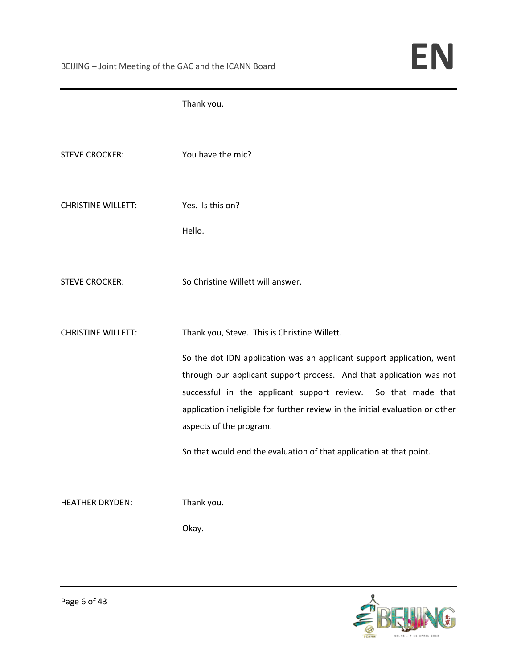|                           | Thank you.                                                                                                                                                                                                                                                                                                               |
|---------------------------|--------------------------------------------------------------------------------------------------------------------------------------------------------------------------------------------------------------------------------------------------------------------------------------------------------------------------|
| <b>STEVE CROCKER:</b>     | You have the mic?                                                                                                                                                                                                                                                                                                        |
| <b>CHRISTINE WILLETT:</b> | Yes. Is this on?                                                                                                                                                                                                                                                                                                         |
|                           | Hello.                                                                                                                                                                                                                                                                                                                   |
| <b>STEVE CROCKER:</b>     | So Christine Willett will answer.                                                                                                                                                                                                                                                                                        |
| <b>CHRISTINE WILLETT:</b> | Thank you, Steve. This is Christine Willett.                                                                                                                                                                                                                                                                             |
|                           | So the dot IDN application was an applicant support application, went<br>through our applicant support process. And that application was not<br>successful in the applicant support review. So that made that<br>application ineligible for further review in the initial evaluation or other<br>aspects of the program. |
|                           | So that would end the evaluation of that application at that point.                                                                                                                                                                                                                                                      |
| <b>HEATHER DRYDEN:</b>    | Thank you.<br>Okay.                                                                                                                                                                                                                                                                                                      |
|                           |                                                                                                                                                                                                                                                                                                                          |

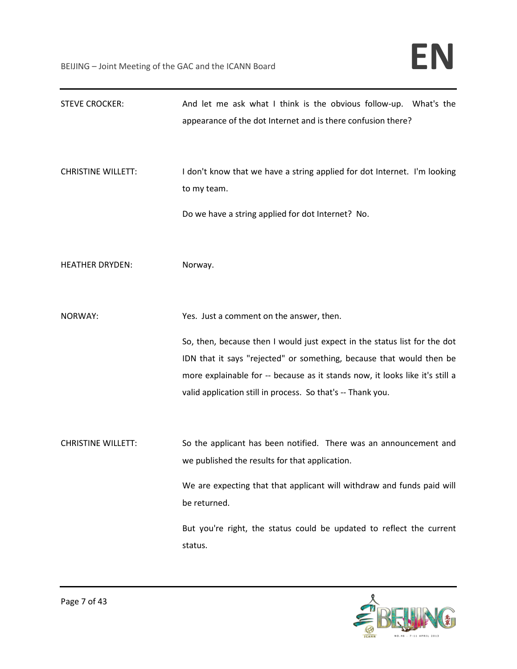| <b>STEVE CROCKER:</b>     | And let me ask what I think is the obvious follow-up. What's the<br>appearance of the dot Internet and is there confusion there?                                                                                                                                                                 |
|---------------------------|--------------------------------------------------------------------------------------------------------------------------------------------------------------------------------------------------------------------------------------------------------------------------------------------------|
| <b>CHRISTINE WILLETT:</b> | I don't know that we have a string applied for dot Internet. I'm looking<br>to my team.                                                                                                                                                                                                          |
|                           | Do we have a string applied for dot Internet? No.                                                                                                                                                                                                                                                |
| <b>HEATHER DRYDEN:</b>    | Norway.                                                                                                                                                                                                                                                                                          |
| NORWAY:                   | Yes. Just a comment on the answer, then.                                                                                                                                                                                                                                                         |
|                           | So, then, because then I would just expect in the status list for the dot<br>IDN that it says "rejected" or something, because that would then be<br>more explainable for -- because as it stands now, it looks like it's still a<br>valid application still in process. So that's -- Thank you. |
| <b>CHRISTINE WILLETT:</b> | So the applicant has been notified. There was an announcement and<br>we published the results for that application.                                                                                                                                                                              |
|                           | We are expecting that that applicant will withdraw and funds paid will<br>be returned.                                                                                                                                                                                                           |
|                           | But you're right, the status could be updated to reflect the current<br>status.                                                                                                                                                                                                                  |

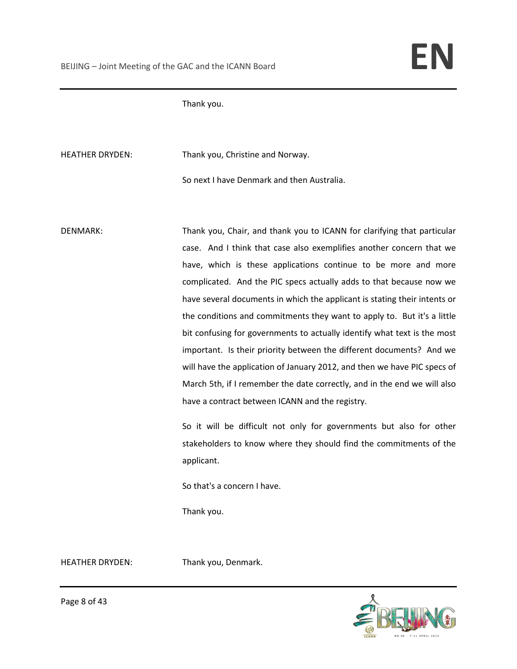Thank you.

HEATHER DRYDEN: Thank you, Christine and Norway.

So next I have Denmark and then Australia.

DENMARK: Thank you, Chair, and thank you to ICANN for clarifying that particular case. And I think that case also exemplifies another concern that we have, which is these applications continue to be more and more complicated. And the PIC specs actually adds to that because now we have several documents in which the applicant is stating their intents or the conditions and commitments they want to apply to. But it's a little bit confusing for governments to actually identify what text is the most important. Is their priority between the different documents? And we will have the application of January 2012, and then we have PIC specs of March 5th, if I remember the date correctly, and in the end we will also have a contract between ICANN and the registry.

> So it will be difficult not only for governments but also for other stakeholders to know where they should find the commitments of the applicant.

So that's a concern I have.

Thank you.

HEATHER DRYDEN: Thank you, Denmark.



Page 8 of 43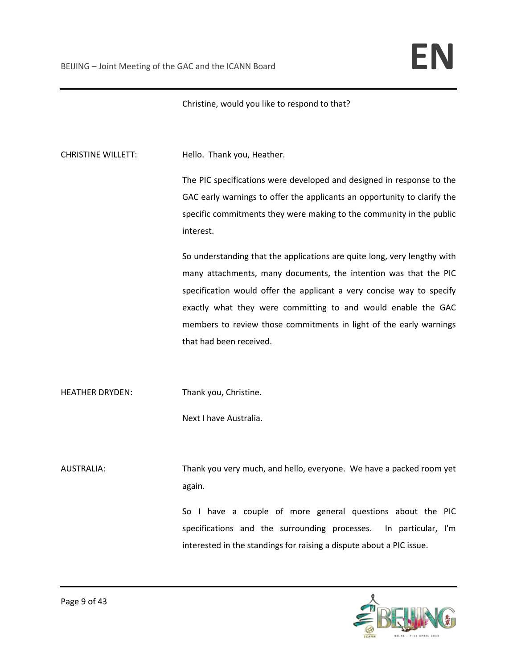Christine, would you like to respond to that?

CHRISTINE WILLETT: Hello. Thank you, Heather.

The PIC specifications were developed and designed in response to the GAC early warnings to offer the applicants an opportunity to clarify the specific commitments they were making to the community in the public interest.

So understanding that the applications are quite long, very lengthy with many attachments, many documents, the intention was that the PIC specification would offer the applicant a very concise way to specify exactly what they were committing to and would enable the GAC members to review those commitments in light of the early warnings that had been received.

HEATHER DRYDEN: Thank you, Christine.

Next I have Australia.

AUSTRALIA: Thank you very much, and hello, everyone. We have a packed room yet again.

> So I have a couple of more general questions about the PIC specifications and the surrounding processes. In particular, I'm interested in the standings for raising a dispute about a PIC issue.

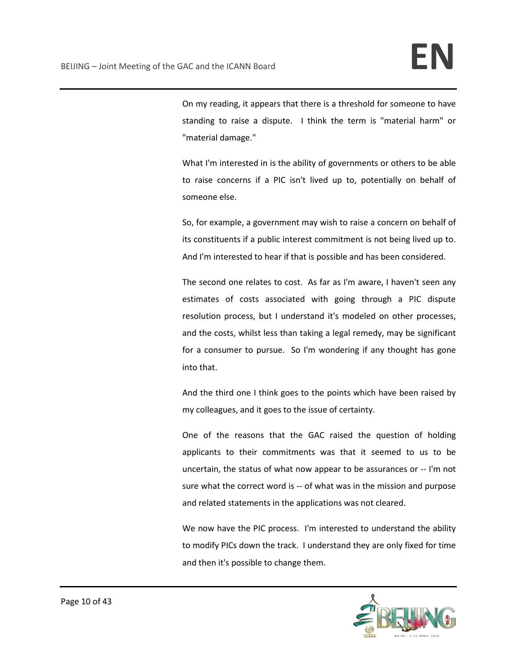On my reading, it appears that there is a threshold for someone to have standing to raise a dispute. I think the term is "material harm" or "material damage."

What I'm interested in is the ability of governments or others to be able to raise concerns if a PIC isn't lived up to, potentially on behalf of someone else.

So, for example, a government may wish to raise a concern on behalf of its constituents if a public interest commitment is not being lived up to. And I'm interested to hear if that is possible and has been considered.

The second one relates to cost. As far as I'm aware, I haven't seen any estimates of costs associated with going through a PIC dispute resolution process, but I understand it's modeled on other processes, and the costs, whilst less than taking a legal remedy, may be significant for a consumer to pursue. So I'm wondering if any thought has gone into that.

And the third one I think goes to the points which have been raised by my colleagues, and it goes to the issue of certainty.

One of the reasons that the GAC raised the question of holding applicants to their commitments was that it seemed to us to be uncertain, the status of what now appear to be assurances or -- I'm not sure what the correct word is -- of what was in the mission and purpose and related statements in the applications was not cleared.

We now have the PIC process. I'm interested to understand the ability to modify PICs down the track. I understand they are only fixed for time and then it's possible to change them.

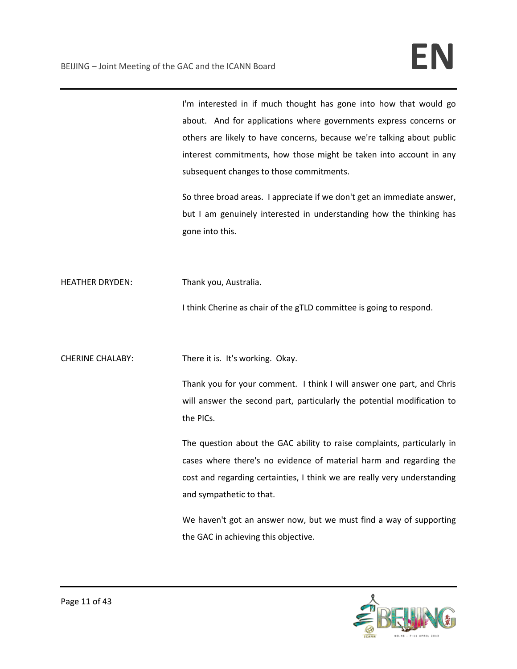I'm interested in if much thought has gone into how that would go about. And for applications where governments express concerns or others are likely to have concerns, because we're talking about public interest commitments, how those might be taken into account in any subsequent changes to those commitments.

So three broad areas. I appreciate if we don't get an immediate answer, but I am genuinely interested in understanding how the thinking has gone into this.

HEATHER DRYDEN: Thank you, Australia.

I think Cherine as chair of the gTLD committee is going to respond.

CHERINE CHALABY: There it is. It's working. Okay.

Thank you for your comment. I think I will answer one part, and Chris will answer the second part, particularly the potential modification to the PICs.

The question about the GAC ability to raise complaints, particularly in cases where there's no evidence of material harm and regarding the cost and regarding certainties, I think we are really very understanding and sympathetic to that.

We haven't got an answer now, but we must find a way of supporting the GAC in achieving this objective.

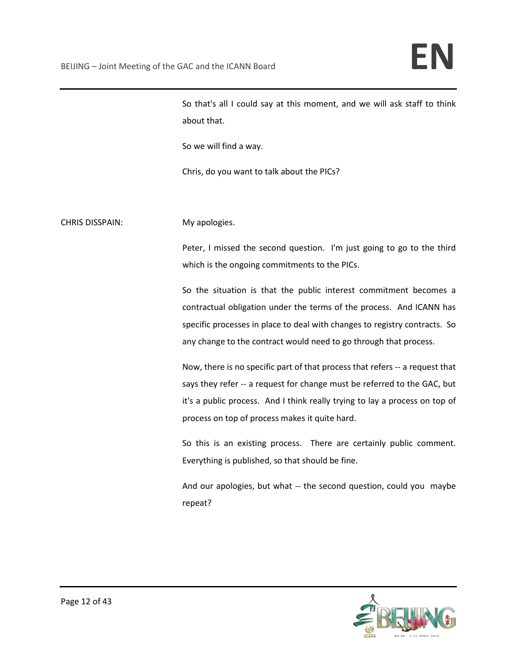So that's all I could say at this moment, and we will ask staff to think about that.

So we will find a way.

Chris, do you want to talk about the PICs?

CHRIS DISSPAIN: My apologies.

Peter, I missed the second question. I'm just going to go to the third which is the ongoing commitments to the PICs.

So the situation is that the public interest commitment becomes a contractual obligation under the terms of the process. And ICANN has specific processes in place to deal with changes to registry contracts. So any change to the contract would need to go through that process.

Now, there is no specific part of that process that refers -- a request that says they refer -- a request for change must be referred to the GAC, but it's a public process. And I think really trying to lay a process on top of process on top of process makes it quite hard.

So this is an existing process. There are certainly public comment. Everything is published, so that should be fine.

And our apologies, but what -- the second question, could you maybe repeat?

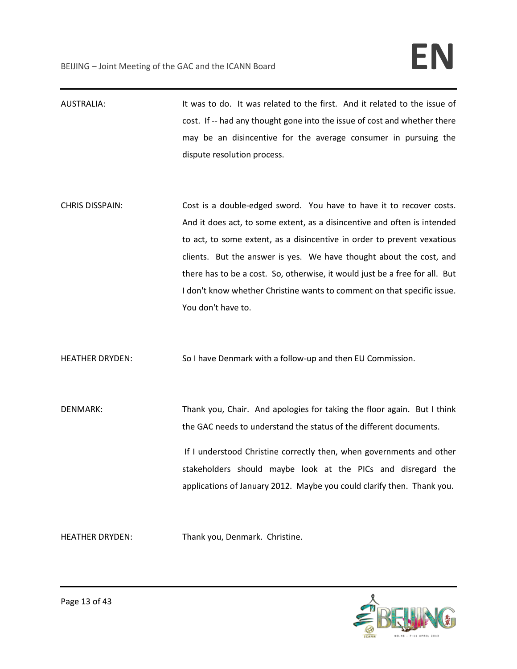AUSTRALIA: It was to do. It was related to the first. And it related to the issue of cost. If -- had any thought gone into the issue of cost and whether there may be an disincentive for the average consumer in pursuing the dispute resolution process.

CHRIS DISSPAIN: Cost is a double-edged sword. You have to have it to recover costs. And it does act, to some extent, as a disincentive and often is intended to act, to some extent, as a disincentive in order to prevent vexatious clients. But the answer is yes. We have thought about the cost, and there has to be a cost. So, otherwise, it would just be a free for all. But I don't know whether Christine wants to comment on that specific issue. You don't have to.

HEATHER DRYDEN: So I have Denmark with a follow-up and then EU Commission.

DENMARK: Thank you, Chair. And apologies for taking the floor again. But I think the GAC needs to understand the status of the different documents. If I understood Christine correctly then, when governments and other stakeholders should maybe look at the PICs and disregard the applications of January 2012. Maybe you could clarify then. Thank you.

HEATHER DRYDEN: Thank you, Denmark. Christine.

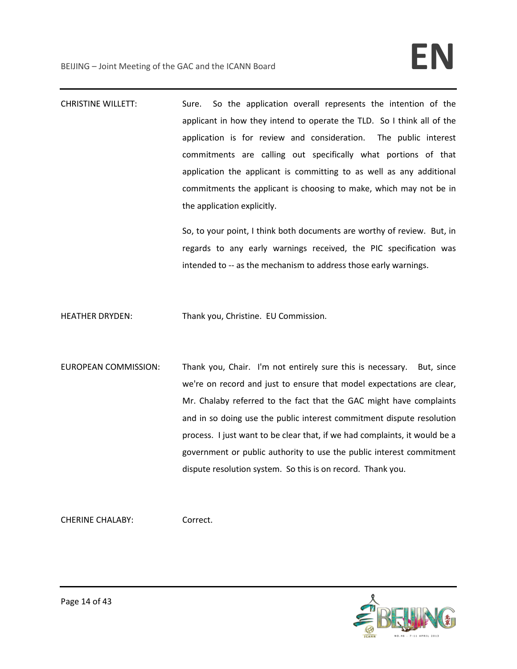CHRISTINE WILLETT: Sure. So the application overall represents the intention of the applicant in how they intend to operate the TLD. So I think all of the application is for review and consideration. The public interest commitments are calling out specifically what portions of that application the applicant is committing to as well as any additional commitments the applicant is choosing to make, which may not be in the application explicitly.

> So, to your point, I think both documents are worthy of review. But, in regards to any early warnings received, the PIC specification was intended to -- as the mechanism to address those early warnings.

HEATHER DRYDEN: Thank you, Christine. EU Commission.

EUROPEAN COMMISSION: Thank you, Chair. I'm not entirely sure this is necessary. But, since we're on record and just to ensure that model expectations are clear, Mr. Chalaby referred to the fact that the GAC might have complaints and in so doing use the public interest commitment dispute resolution process. I just want to be clear that, if we had complaints, it would be a government or public authority to use the public interest commitment dispute resolution system. So this is on record. Thank you.

CHERINE CHALABY: Correct.

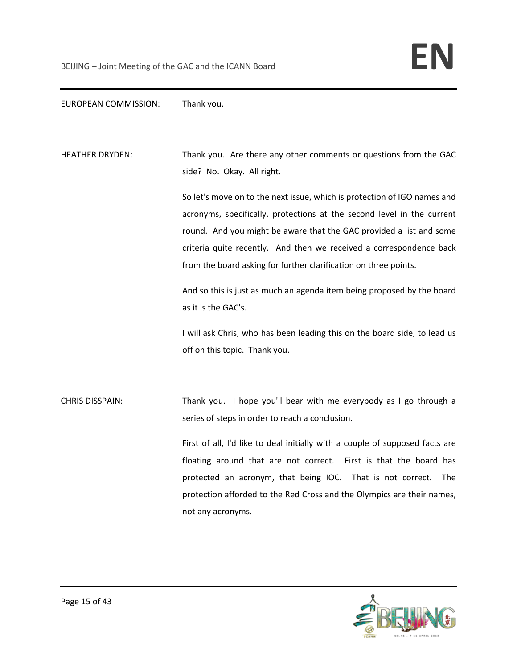## EUROPEAN COMMISSION: Thank you.

HEATHER DRYDEN: Thank you. Are there any other comments or questions from the GAC side? No. Okay. All right.

> So let's move on to the next issue, which is protection of IGO names and acronyms, specifically, protections at the second level in the current round. And you might be aware that the GAC provided a list and some criteria quite recently. And then we received a correspondence back from the board asking for further clarification on three points.

> And so this is just as much an agenda item being proposed by the board as it is the GAC's.

> I will ask Chris, who has been leading this on the board side, to lead us off on this topic. Thank you.

CHRIS DISSPAIN: Thank you. I hope you'll bear with me everybody as I go through a series of steps in order to reach a conclusion.

> First of all, I'd like to deal initially with a couple of supposed facts are floating around that are not correct. First is that the board has protected an acronym, that being IOC. That is not correct. The protection afforded to the Red Cross and the Olympics are their names, not any acronyms.

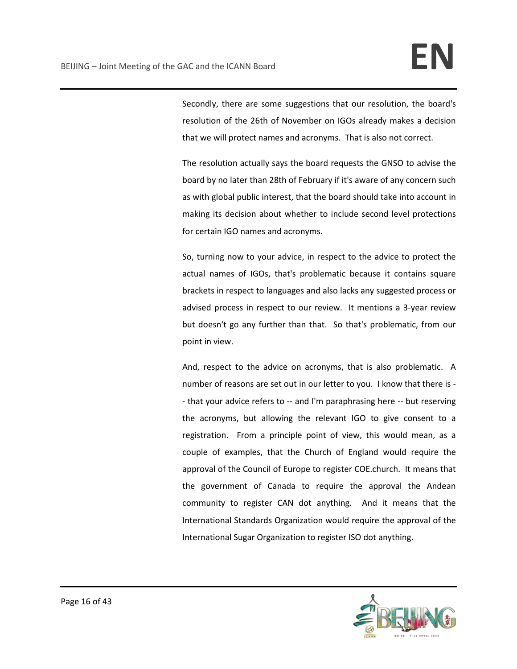Secondly, there are some suggestions that our resolution, the board's resolution of the 26th of November on IGOs already makes a decision that we will protect names and acronyms. That is also not correct.

The resolution actually says the board requests the GNSO to advise the board by no later than 28th of February if it's aware of any concern such as with global public interest, that the board should take into account in making its decision about whether to include second level protections for certain IGO names and acronyms.

So, turning now to your advice, in respect to the advice to protect the actual names of IGOs, that's problematic because it contains square brackets in respect to languages and also lacks any suggested process or advised process in respect to our review. It mentions a 3-year review but doesn't go any further than that. So that's problematic, from our point in view.

And, respect to the advice on acronyms, that is also problematic. A number of reasons are set out in our letter to you. I know that there is - - that your advice refers to -- and I'm paraphrasing here -- but reserving the acronyms, but allowing the relevant IGO to give consent to a registration. From a principle point of view, this would mean, as a couple of examples, that the Church of England would require the approval of the Council of Europe to register COE.church. It means that the government of Canada to require the approval the Andean community to register CAN dot anything. And it means that the International Standards Organization would require the approval of the International Sugar Organization to register ISO dot anything.

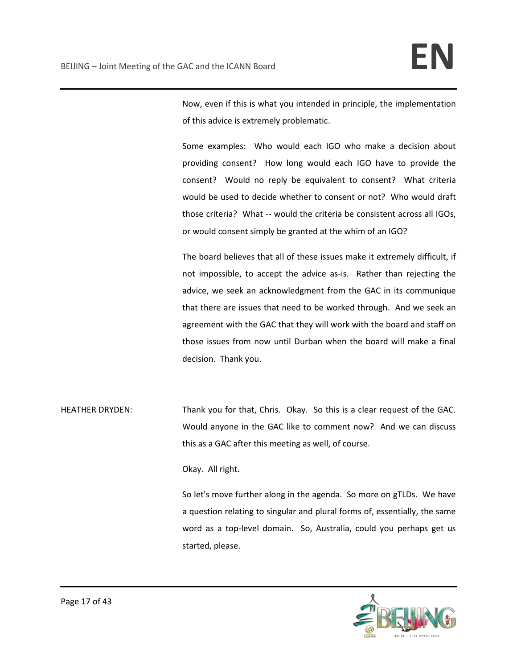Now, even if this is what you intended in principle, the implementation of this advice is extremely problematic.

Some examples: Who would each IGO who make a decision about providing consent? How long would each IGO have to provide the consent? Would no reply be equivalent to consent? What criteria would be used to decide whether to consent or not? Who would draft those criteria? What -- would the criteria be consistent across all IGOs, or would consent simply be granted at the whim of an IGO?

The board believes that all of these issues make it extremely difficult, if not impossible, to accept the advice as-is. Rather than rejecting the advice, we seek an acknowledgment from the GAC in its communique that there are issues that need to be worked through. And we seek an agreement with the GAC that they will work with the board and staff on those issues from now until Durban when the board will make a final decision. Thank you.

HEATHER DRYDEN: Thank you for that, Chris. Okay. So this is a clear request of the GAC. Would anyone in the GAC like to comment now? And we can discuss this as a GAC after this meeting as well, of course.

Okay. All right.

So let's move further along in the agenda. So more on gTLDs. We have a question relating to singular and plural forms of, essentially, the same word as a top-level domain. So, Australia, could you perhaps get us started, please.

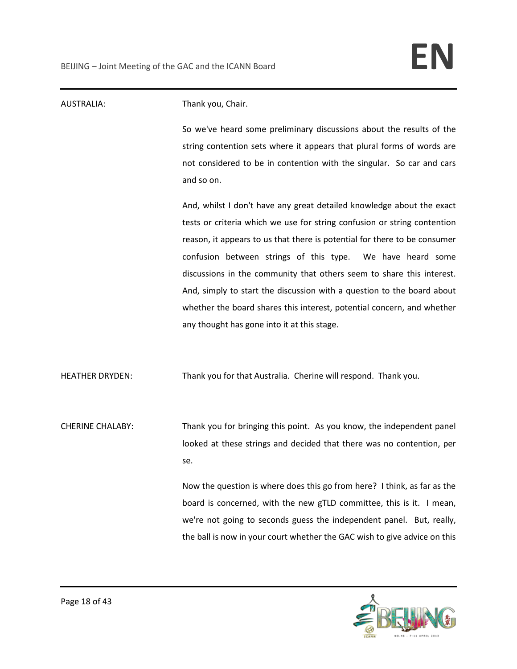| <b>AUSTRALIA:</b>       | Thank you, Chair.                                                            |
|-------------------------|------------------------------------------------------------------------------|
|                         | So we've heard some preliminary discussions about the results of the         |
|                         | string contention sets where it appears that plural forms of words are       |
|                         | not considered to be in contention with the singular. So car and cars        |
|                         | and so on.                                                                   |
|                         | And, whilst I don't have any great detailed knowledge about the exact        |
|                         | tests or criteria which we use for string confusion or string contention     |
|                         | reason, it appears to us that there is potential for there to be consumer    |
|                         | confusion between strings of this type.<br>We have heard some                |
|                         | discussions in the community that others seem to share this interest.        |
|                         | And, simply to start the discussion with a question to the board about       |
|                         | whether the board shares this interest, potential concern, and whether       |
|                         | any thought has gone into it at this stage.                                  |
| <b>HEATHER DRYDEN:</b>  | Thank you for that Australia. Cherine will respond. Thank you.               |
|                         |                                                                              |
| <b>CHERINE CHALABY:</b> | Thank you for bringing this point. As you know, the independent panel        |
|                         | looked at these strings and decided that there was no contention, per<br>se. |
|                         | Now the question is where does this go from here? I think, as far as the     |
|                         | board is concerned, with the new gTLD committee, this is it. I mean,         |
|                         | we're not going to seconds guess the independent panel. But, really,         |
|                         | the ball is now in your court whether the GAC wish to give advice on this    |

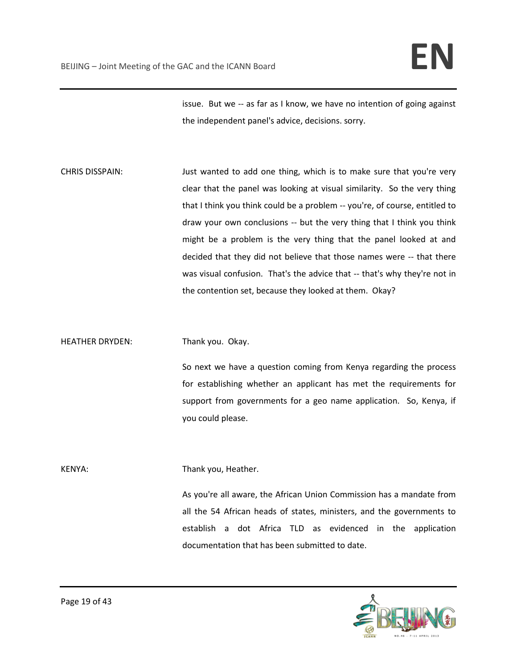issue. But we -- as far as I know, we have no intention of going against the independent panel's advice, decisions. sorry.

CHRIS DISSPAIN: Just wanted to add one thing, which is to make sure that you're very clear that the panel was looking at visual similarity. So the very thing that I think you think could be a problem -- you're, of course, entitled to draw your own conclusions -- but the very thing that I think you think might be a problem is the very thing that the panel looked at and decided that they did not believe that those names were -- that there was visual confusion. That's the advice that -- that's why they're not in the contention set, because they looked at them. Okay?

HEATHER DRYDEN: Thank you. Okay.

So next we have a question coming from Kenya regarding the process for establishing whether an applicant has met the requirements for support from governments for a geo name application. So, Kenya, if you could please.

KENYA: Thank you, Heather.

As you're all aware, the African Union Commission has a mandate from all the 54 African heads of states, ministers, and the governments to establish a dot Africa TLD as evidenced in the application documentation that has been submitted to date.

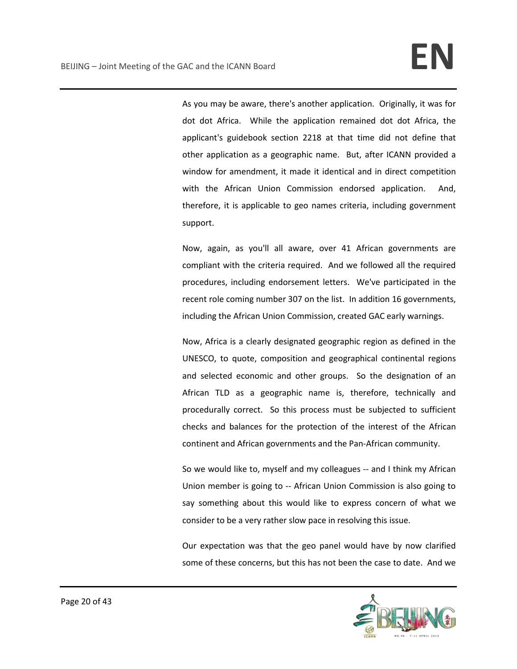As you may be aware, there's another application. Originally, it was for dot dot Africa. While the application remained dot dot Africa, the applicant's guidebook section 2218 at that time did not define that other application as a geographic name. But, after ICANN provided a window for amendment, it made it identical and in direct competition with the African Union Commission endorsed application. And, therefore, it is applicable to geo names criteria, including government support.

Now, again, as you'll all aware, over 41 African governments are compliant with the criteria required. And we followed all the required procedures, including endorsement letters. We've participated in the recent role coming number 307 on the list. In addition 16 governments, including the African Union Commission, created GAC early warnings.

Now, Africa is a clearly designated geographic region as defined in the UNESCO, to quote, composition and geographical continental regions and selected economic and other groups. So the designation of an African TLD as a geographic name is, therefore, technically and procedurally correct. So this process must be subjected to sufficient checks and balances for the protection of the interest of the African continent and African governments and the Pan-African community.

So we would like to, myself and my colleagues -- and I think my African Union member is going to -- African Union Commission is also going to say something about this would like to express concern of what we consider to be a very rather slow pace in resolving this issue.

Our expectation was that the geo panel would have by now clarified some of these concerns, but this has not been the case to date. And we

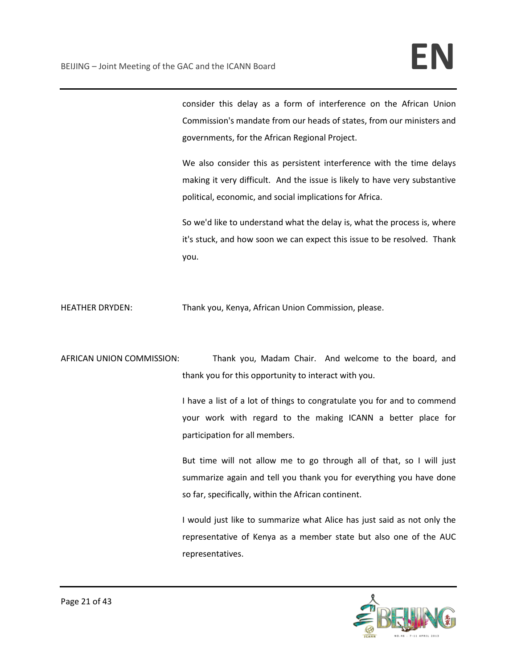consider this delay as a form of interference on the African Union Commission's mandate from our heads of states, from our ministers and governments, for the African Regional Project.

We also consider this as persistent interference with the time delays making it very difficult. And the issue is likely to have very substantive political, economic, and social implications for Africa.

So we'd like to understand what the delay is, what the process is, where it's stuck, and how soon we can expect this issue to be resolved. Thank you.

HEATHER DRYDEN: Thank you, Kenya, African Union Commission, please.

AFRICAN UNION COMMISSION: Thank you, Madam Chair. And welcome to the board, and thank you for this opportunity to interact with you.

> I have a list of a lot of things to congratulate you for and to commend your work with regard to the making ICANN a better place for participation for all members.

> But time will not allow me to go through all of that, so I will just summarize again and tell you thank you for everything you have done so far, specifically, within the African continent.

> I would just like to summarize what Alice has just said as not only the representative of Kenya as a member state but also one of the AUC representatives.

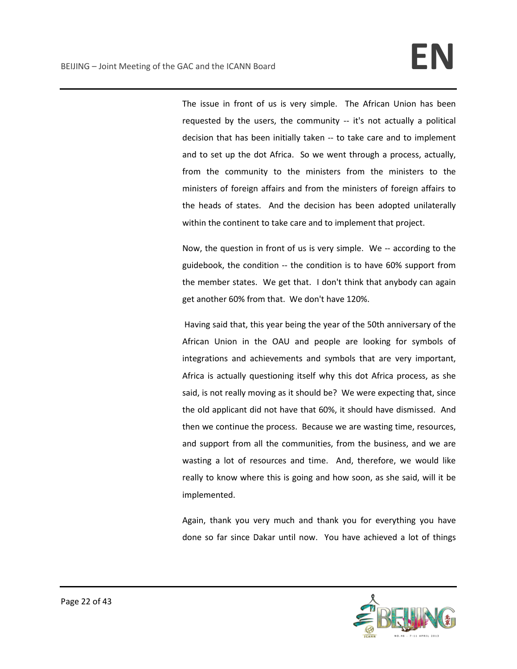The issue in front of us is very simple. The African Union has been requested by the users, the community -- it's not actually a political decision that has been initially taken -- to take care and to implement and to set up the dot Africa. So we went through a process, actually, from the community to the ministers from the ministers to the ministers of foreign affairs and from the ministers of foreign affairs to the heads of states. And the decision has been adopted unilaterally within the continent to take care and to implement that project.

Now, the question in front of us is very simple. We -- according to the guidebook, the condition -- the condition is to have 60% support from the member states. We get that. I don't think that anybody can again get another 60% from that. We don't have 120%.

Having said that, this year being the year of the 50th anniversary of the African Union in the OAU and people are looking for symbols of integrations and achievements and symbols that are very important, Africa is actually questioning itself why this dot Africa process, as she said, is not really moving as it should be? We were expecting that, since the old applicant did not have that 60%, it should have dismissed. And then we continue the process. Because we are wasting time, resources, and support from all the communities, from the business, and we are wasting a lot of resources and time. And, therefore, we would like really to know where this is going and how soon, as she said, will it be implemented.

Again, thank you very much and thank you for everything you have done so far since Dakar until now. You have achieved a lot of things

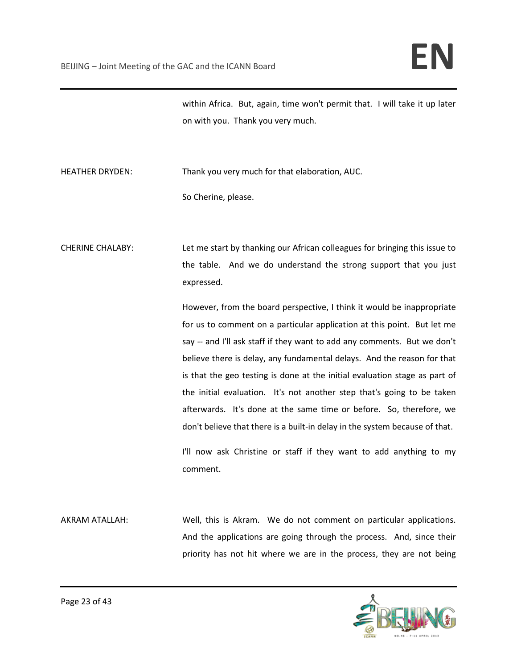within Africa. But, again, time won't permit that. I will take it up later on with you. Thank you very much.

HEATHER DRYDEN: Thank you very much for that elaboration, AUC.

So Cherine, please.

CHERINE CHALABY: Let me start by thanking our African colleagues for bringing this issue to the table. And we do understand the strong support that you just expressed.

> However, from the board perspective, I think it would be inappropriate for us to comment on a particular application at this point. But let me say -- and I'll ask staff if they want to add any comments. But we don't believe there is delay, any fundamental delays. And the reason for that is that the geo testing is done at the initial evaluation stage as part of the initial evaluation. It's not another step that's going to be taken afterwards. It's done at the same time or before. So, therefore, we don't believe that there is a built-in delay in the system because of that.

> I'll now ask Christine or staff if they want to add anything to my comment.

AKRAM ATALLAH: Well, this is Akram. We do not comment on particular applications. And the applications are going through the process. And, since their priority has not hit where we are in the process, they are not being

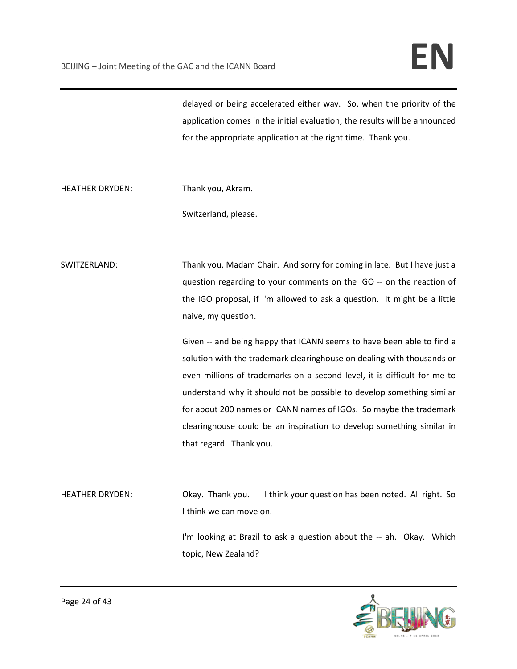delayed or being accelerated either way. So, when the priority of the application comes in the initial evaluation, the results will be announced for the appropriate application at the right time. Thank you.

HEATHER DRYDEN: Thank you, Akram.

Switzerland, please.

SWITZERLAND: Thank you, Madam Chair. And sorry for coming in late. But I have just a question regarding to your comments on the IGO -- on the reaction of the IGO proposal, if I'm allowed to ask a question. It might be a little naive, my question.

> Given -- and being happy that ICANN seems to have been able to find a solution with the trademark clearinghouse on dealing with thousands or even millions of trademarks on a second level, it is difficult for me to understand why it should not be possible to develop something similar for about 200 names or ICANN names of IGOs. So maybe the trademark clearinghouse could be an inspiration to develop something similar in that regard. Thank you.

HEATHER DRYDEN: Okay. Thank you. I think your question has been noted. All right. So I think we can move on.

> I'm looking at Brazil to ask a question about the -- ah. Okay. Which topic, New Zealand?

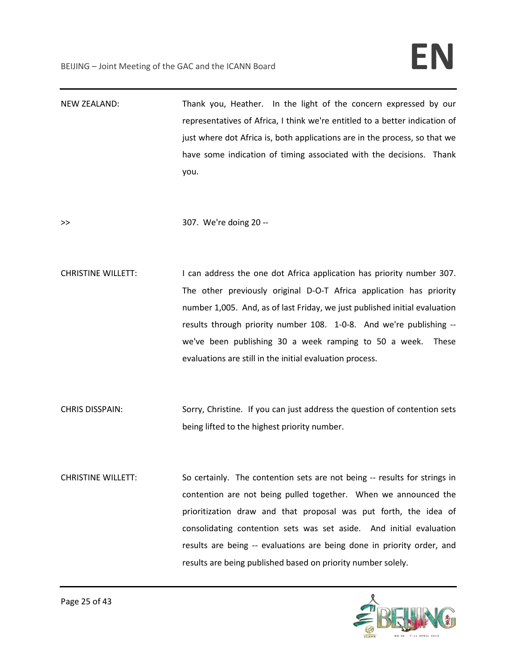NEW ZEALAND: Thank you, Heather. In the light of the concern expressed by our representatives of Africa, I think we're entitled to a better indication of just where dot Africa is, both applications are in the process, so that we have some indication of timing associated with the decisions. Thank you.

>> 307. We're doing 20 --

- CHRISTINE WILLETT: I can address the one dot Africa application has priority number 307. The other previously original D-O-T Africa application has priority number 1,005. And, as of last Friday, we just published initial evaluation results through priority number 108. 1-0-8. And we're publishing - we've been publishing 30 a week ramping to 50 a week. These evaluations are still in the initial evaluation process.
- CHRIS DISSPAIN: Sorry, Christine. If you can just address the question of contention sets being lifted to the highest priority number.
- CHRISTINE WILLETT: So certainly. The contention sets are not being -- results for strings in contention are not being pulled together. When we announced the prioritization draw and that proposal was put forth, the idea of consolidating contention sets was set aside. And initial evaluation results are being -- evaluations are being done in priority order, and results are being published based on priority number solely.

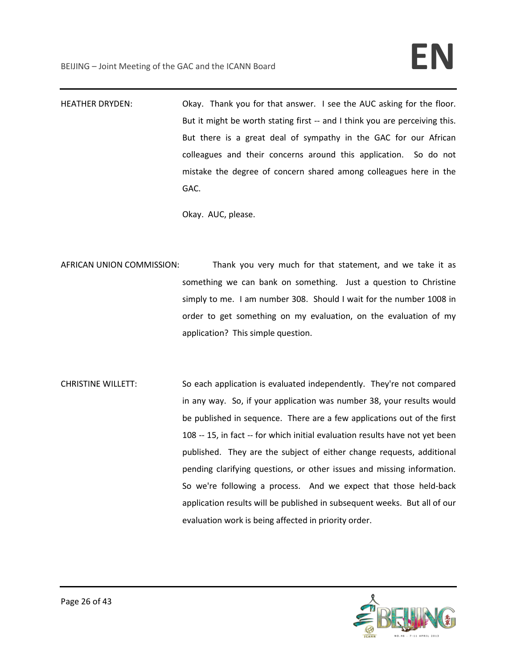HEATHER DRYDEN: Okay. Thank you for that answer. I see the AUC asking for the floor. But it might be worth stating first -- and I think you are perceiving this. But there is a great deal of sympathy in the GAC for our African colleagues and their concerns around this application. So do not mistake the degree of concern shared among colleagues here in the GAC.

Okay. AUC, please.

- AFRICAN UNION COMMISSION: Thank you very much for that statement, and we take it as something we can bank on something. Just a question to Christine simply to me. I am number 308. Should I wait for the number 1008 in order to get something on my evaluation, on the evaluation of my application? This simple question.
- CHRISTINE WILLETT: So each application is evaluated independently. They're not compared in any way. So, if your application was number 38, your results would be published in sequence. There are a few applications out of the first 108 -- 15, in fact -- for which initial evaluation results have not yet been published. They are the subject of either change requests, additional pending clarifying questions, or other issues and missing information. So we're following a process. And we expect that those held-back application results will be published in subsequent weeks. But all of our evaluation work is being affected in priority order.

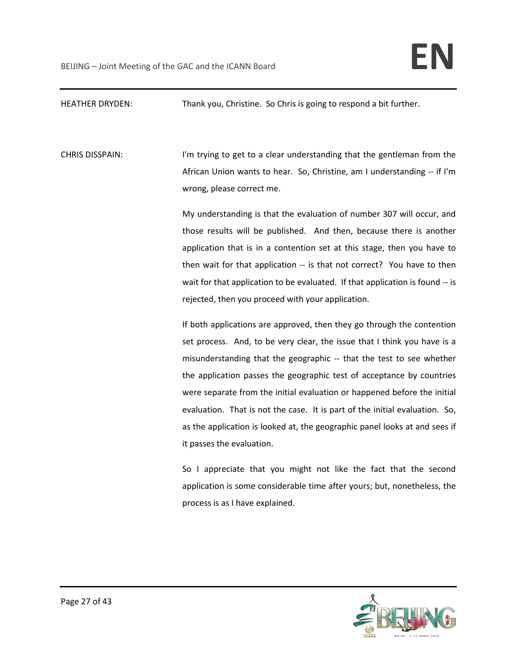# HEATHER DRYDEN: Thank you, Christine. So Chris is going to respond a bit further.

CHRIS DISSPAIN: I'm trying to get to a clear understanding that the gentleman from the African Union wants to hear. So, Christine, am I understanding -- if I'm wrong, please correct me.

> My understanding is that the evaluation of number 307 will occur, and those results will be published. And then, because there is another application that is in a contention set at this stage, then you have to then wait for that application -- is that not correct? You have to then wait for that application to be evaluated. If that application is found -- is rejected, then you proceed with your application.

> If both applications are approved, then they go through the contention set process. And, to be very clear, the issue that I think you have is a misunderstanding that the geographic -- that the test to see whether the application passes the geographic test of acceptance by countries were separate from the initial evaluation or happened before the initial evaluation. That is not the case. It is part of the initial evaluation. So, as the application is looked at, the geographic panel looks at and sees if it passes the evaluation.

> So I appreciate that you might not like the fact that the second application is some considerable time after yours; but, nonetheless, the process is as I have explained.

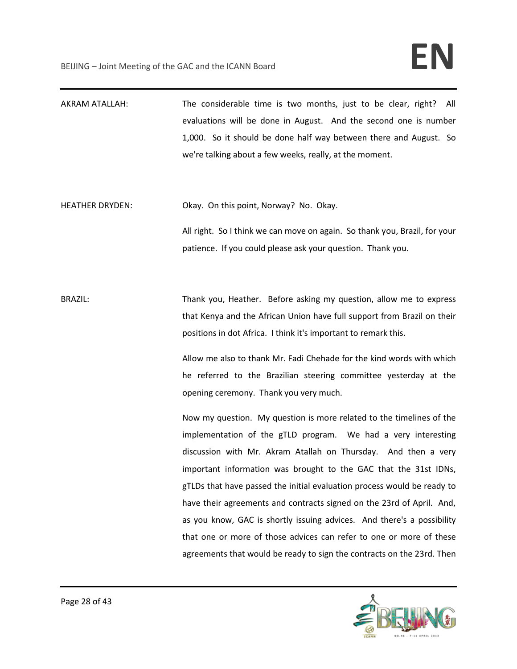AKRAM ATALLAH: The considerable time is two months, just to be clear, right? All evaluations will be done in August. And the second one is number 1,000. So it should be done half way between there and August. So we're talking about a few weeks, really, at the moment.

HEATHER DRYDEN: Okay. On this point, Norway? No. Okay.

All right. So I think we can move on again. So thank you, Brazil, for your patience. If you could please ask your question. Thank you.

BRAZIL: Thank you, Heather. Before asking my question, allow me to express that Kenya and the African Union have full support from Brazil on their positions in dot Africa. I think it's important to remark this.

> Allow me also to thank Mr. Fadi Chehade for the kind words with which he referred to the Brazilian steering committee yesterday at the opening ceremony. Thank you very much.

> Now my question. My question is more related to the timelines of the implementation of the gTLD program. We had a very interesting discussion with Mr. Akram Atallah on Thursday. And then a very important information was brought to the GAC that the 31st IDNs, gTLDs that have passed the initial evaluation process would be ready to have their agreements and contracts signed on the 23rd of April. And, as you know, GAC is shortly issuing advices. And there's a possibility that one or more of those advices can refer to one or more of these agreements that would be ready to sign the contracts on the 23rd. Then

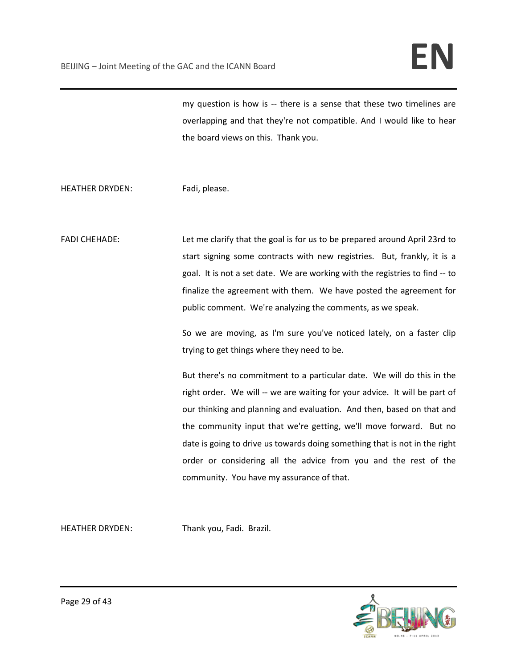my question is how is -- there is a sense that these two timelines are overlapping and that they're not compatible. And I would like to hear the board views on this. Thank you.

HEATHER DRYDEN: Fadi, please.

FADI CHEHADE: Let me clarify that the goal is for us to be prepared around April 23rd to start signing some contracts with new registries. But, frankly, it is a goal. It is not a set date. We are working with the registries to find -- to finalize the agreement with them. We have posted the agreement for public comment. We're analyzing the comments, as we speak.

> So we are moving, as I'm sure you've noticed lately, on a faster clip trying to get things where they need to be.

> But there's no commitment to a particular date. We will do this in the right order. We will -- we are waiting for your advice. It will be part of our thinking and planning and evaluation. And then, based on that and the community input that we're getting, we'll move forward. But no date is going to drive us towards doing something that is not in the right order or considering all the advice from you and the rest of the community. You have my assurance of that.

HEATHER DRYDEN: Thank you, Fadi. Brazil.

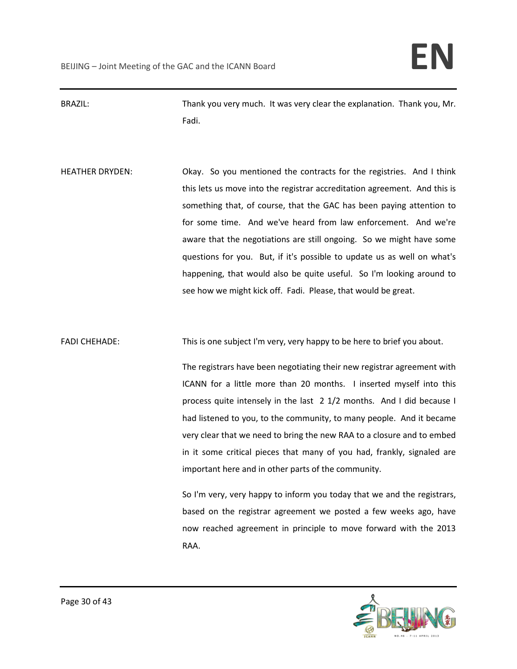BRAZIL: Thank you very much. It was very clear the explanation. Thank you, Mr. Fadi.

HEATHER DRYDEN: Okay. So you mentioned the contracts for the registries. And I think this lets us move into the registrar accreditation agreement. And this is something that, of course, that the GAC has been paying attention to for some time. And we've heard from law enforcement. And we're aware that the negotiations are still ongoing. So we might have some questions for you. But, if it's possible to update us as well on what's happening, that would also be quite useful. So I'm looking around to see how we might kick off. Fadi. Please, that would be great.

FADI CHEHADE: This is one subject I'm very, very happy to be here to brief you about.

The registrars have been negotiating their new registrar agreement with ICANN for a little more than 20 months. I inserted myself into this process quite intensely in the last 2 1/2 months. And I did because I had listened to you, to the community, to many people. And it became very clear that we need to bring the new RAA to a closure and to embed in it some critical pieces that many of you had, frankly, signaled are important here and in other parts of the community.

So I'm very, very happy to inform you today that we and the registrars, based on the registrar agreement we posted a few weeks ago, have now reached agreement in principle to move forward with the 2013 RAA.

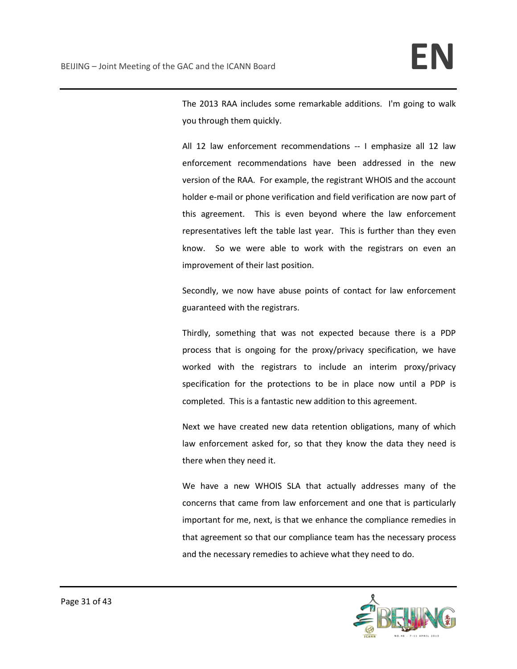The 2013 RAA includes some remarkable additions. I'm going to walk you through them quickly.

All 12 law enforcement recommendations -- I emphasize all 12 law enforcement recommendations have been addressed in the new version of the RAA. For example, the registrant WHOIS and the account holder e-mail or phone verification and field verification are now part of this agreement. This is even beyond where the law enforcement representatives left the table last year. This is further than they even know. So we were able to work with the registrars on even an improvement of their last position.

Secondly, we now have abuse points of contact for law enforcement guaranteed with the registrars.

Thirdly, something that was not expected because there is a PDP process that is ongoing for the proxy/privacy specification, we have worked with the registrars to include an interim proxy/privacy specification for the protections to be in place now until a PDP is completed. This is a fantastic new addition to this agreement.

Next we have created new data retention obligations, many of which law enforcement asked for, so that they know the data they need is there when they need it.

We have a new WHOIS SLA that actually addresses many of the concerns that came from law enforcement and one that is particularly important for me, next, is that we enhance the compliance remedies in that agreement so that our compliance team has the necessary process and the necessary remedies to achieve what they need to do.

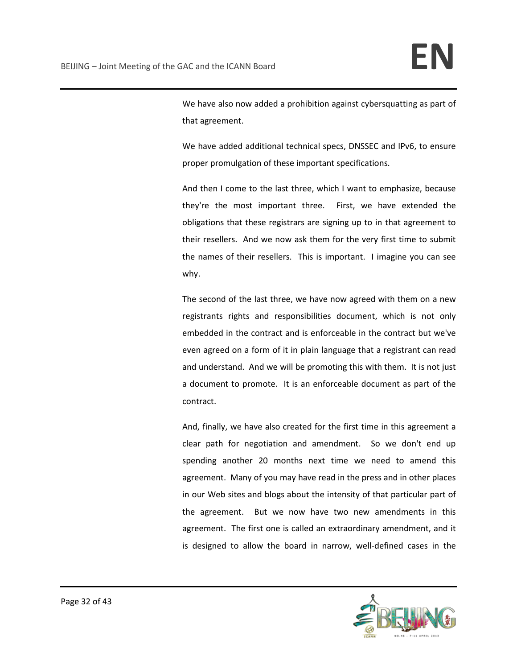We have also now added a prohibition against cybersquatting as part of that agreement.

We have added additional technical specs, DNSSEC and IPv6, to ensure proper promulgation of these important specifications.

And then I come to the last three, which I want to emphasize, because they're the most important three. First, we have extended the obligations that these registrars are signing up to in that agreement to their resellers. And we now ask them for the very first time to submit the names of their resellers. This is important. I imagine you can see why.

The second of the last three, we have now agreed with them on a new registrants rights and responsibilities document, which is not only embedded in the contract and is enforceable in the contract but we've even agreed on a form of it in plain language that a registrant can read and understand. And we will be promoting this with them. It is not just a document to promote. It is an enforceable document as part of the contract.

And, finally, we have also created for the first time in this agreement a clear path for negotiation and amendment. So we don't end up spending another 20 months next time we need to amend this agreement. Many of you may have read in the press and in other places in our Web sites and blogs about the intensity of that particular part of the agreement. But we now have two new amendments in this agreement. The first one is called an extraordinary amendment, and it is designed to allow the board in narrow, well-defined cases in the

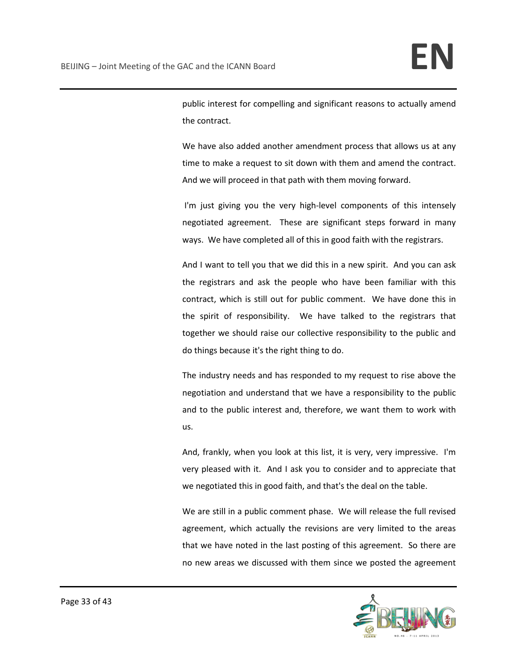public interest for compelling and significant reasons to actually amend the contract.

We have also added another amendment process that allows us at any time to make a request to sit down with them and amend the contract. And we will proceed in that path with them moving forward.

I'm just giving you the very high-level components of this intensely negotiated agreement. These are significant steps forward in many ways. We have completed all of this in good faith with the registrars.

And I want to tell you that we did this in a new spirit. And you can ask the registrars and ask the people who have been familiar with this contract, which is still out for public comment. We have done this in the spirit of responsibility. We have talked to the registrars that together we should raise our collective responsibility to the public and do things because it's the right thing to do.

The industry needs and has responded to my request to rise above the negotiation and understand that we have a responsibility to the public and to the public interest and, therefore, we want them to work with us.

And, frankly, when you look at this list, it is very, very impressive. I'm very pleased with it. And I ask you to consider and to appreciate that we negotiated this in good faith, and that's the deal on the table.

We are still in a public comment phase. We will release the full revised agreement, which actually the revisions are very limited to the areas that we have noted in the last posting of this agreement. So there are no new areas we discussed with them since we posted the agreement

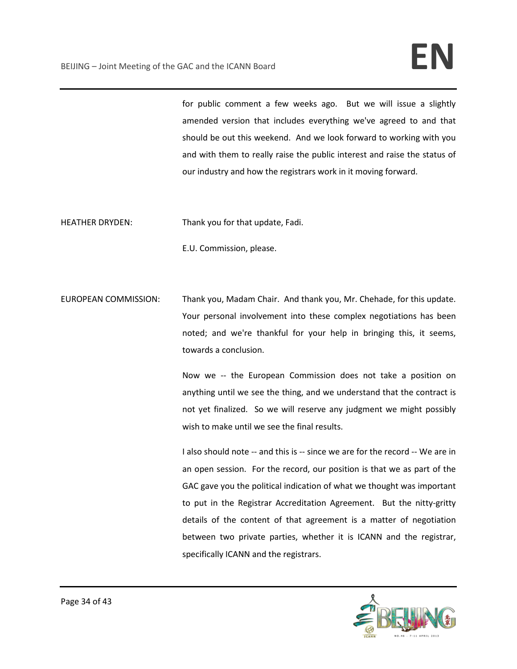for public comment a few weeks ago. But we will issue a slightly amended version that includes everything we've agreed to and that should be out this weekend. And we look forward to working with you and with them to really raise the public interest and raise the status of our industry and how the registrars work in it moving forward.

HEATHER DRYDEN: Thank you for that update, Fadi.

E.U. Commission, please.

EUROPEAN COMMISSION: Thank you, Madam Chair. And thank you, Mr. Chehade, for this update. Your personal involvement into these complex negotiations has been noted; and we're thankful for your help in bringing this, it seems, towards a conclusion.

> Now we -- the European Commission does not take a position on anything until we see the thing, and we understand that the contract is not yet finalized. So we will reserve any judgment we might possibly wish to make until we see the final results.

> I also should note -- and this is -- since we are for the record -- We are in an open session. For the record, our position is that we as part of the GAC gave you the political indication of what we thought was important to put in the Registrar Accreditation Agreement. But the nitty-gritty details of the content of that agreement is a matter of negotiation between two private parties, whether it is ICANN and the registrar, specifically ICANN and the registrars.

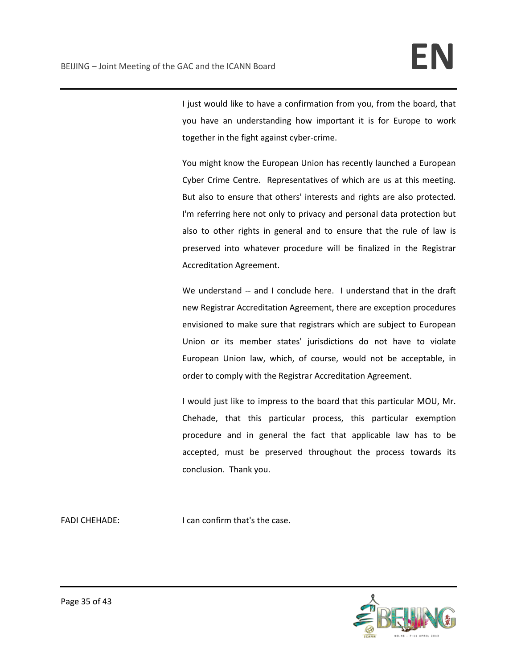I just would like to have a confirmation from you, from the board, that you have an understanding how important it is for Europe to work together in the fight against cyber-crime.

You might know the European Union has recently launched a European Cyber Crime Centre. Representatives of which are us at this meeting. But also to ensure that others' interests and rights are also protected. I'm referring here not only to privacy and personal data protection but also to other rights in general and to ensure that the rule of law is preserved into whatever procedure will be finalized in the Registrar Accreditation Agreement.

We understand -- and I conclude here. I understand that in the draft new Registrar Accreditation Agreement, there are exception procedures envisioned to make sure that registrars which are subject to European Union or its member states' jurisdictions do not have to violate European Union law, which, of course, would not be acceptable, in order to comply with the Registrar Accreditation Agreement.

I would just like to impress to the board that this particular MOU, Mr. Chehade, that this particular process, this particular exemption procedure and in general the fact that applicable law has to be accepted, must be preserved throughout the process towards its conclusion. Thank you.

FADI CHEHADE: I can confirm that's the case.

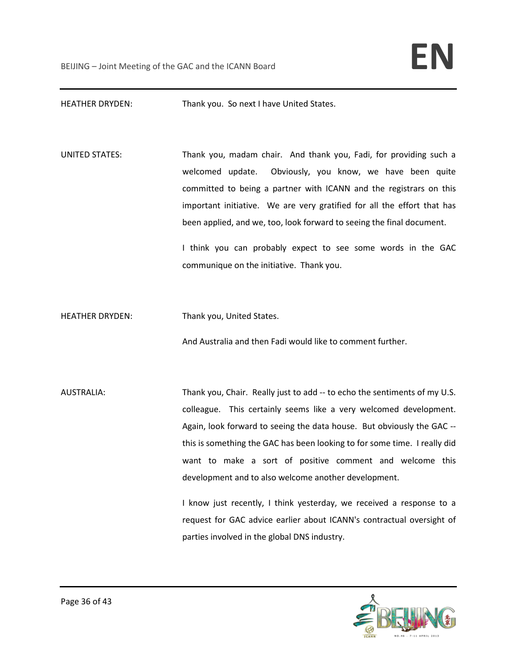HEATHER DRYDEN: Thank you. So next I have United States.

UNITED STATES: Thank you, madam chair. And thank you, Fadi, for providing such a welcomed update. Obviously, you know, we have been quite committed to being a partner with ICANN and the registrars on this important initiative. We are very gratified for all the effort that has been applied, and we, too, look forward to seeing the final document.

> I think you can probably expect to see some words in the GAC communique on the initiative. Thank you.

HEATHER DRYDEN: Thank you, United States.

And Australia and then Fadi would like to comment further.

AUSTRALIA: Thank you, Chair. Really just to add -- to echo the sentiments of my U.S. colleague. This certainly seems like a very welcomed development. Again, look forward to seeing the data house. But obviously the GAC - this is something the GAC has been looking to for some time. I really did want to make a sort of positive comment and welcome this development and to also welcome another development.

> I know just recently, I think yesterday, we received a response to a request for GAC advice earlier about ICANN's contractual oversight of parties involved in the global DNS industry.

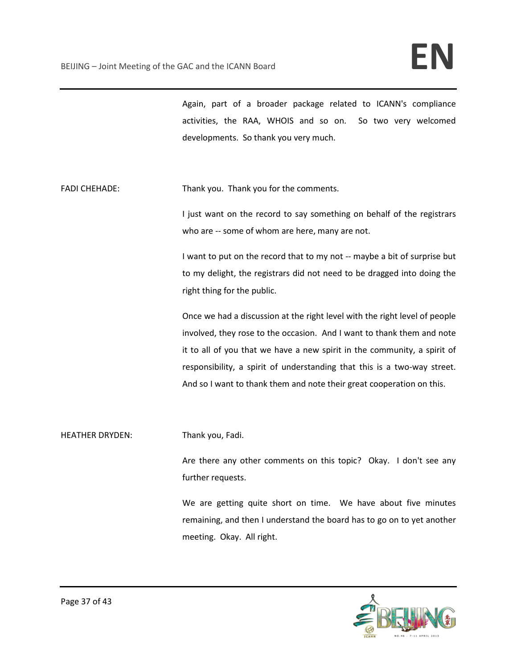Again, part of a broader package related to ICANN's compliance activities, the RAA, WHOIS and so on. So two very welcomed developments. So thank you very much.

FADI CHEHADE: Thank you. Thank you for the comments.

I just want on the record to say something on behalf of the registrars who are -- some of whom are here, many are not.

I want to put on the record that to my not -- maybe a bit of surprise but to my delight, the registrars did not need to be dragged into doing the right thing for the public.

Once we had a discussion at the right level with the right level of people involved, they rose to the occasion. And I want to thank them and note it to all of you that we have a new spirit in the community, a spirit of responsibility, a spirit of understanding that this is a two-way street. And so I want to thank them and note their great cooperation on this.

HEATHER DRYDEN: Thank you, Fadi.

Are there any other comments on this topic? Okay. I don't see any further requests.

We are getting quite short on time. We have about five minutes remaining, and then I understand the board has to go on to yet another meeting. Okay. All right.

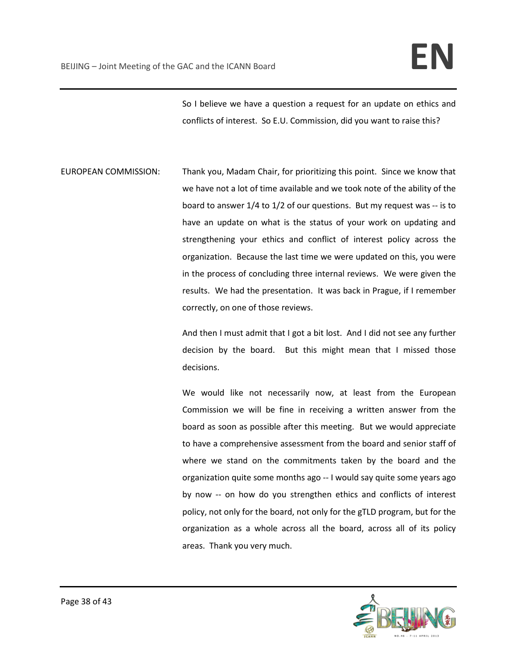So I believe we have a question a request for an update on ethics and conflicts of interest. So E.U. Commission, did you want to raise this?

EUROPEAN COMMISSION: Thank you, Madam Chair, for prioritizing this point. Since we know that we have not a lot of time available and we took note of the ability of the board to answer 1/4 to 1/2 of our questions. But my request was -- is to have an update on what is the status of your work on updating and strengthening your ethics and conflict of interest policy across the organization. Because the last time we were updated on this, you were in the process of concluding three internal reviews. We were given the results. We had the presentation. It was back in Prague, if I remember correctly, on one of those reviews.

> And then I must admit that I got a bit lost. And I did not see any further decision by the board. But this might mean that I missed those decisions.

> We would like not necessarily now, at least from the European Commission we will be fine in receiving a written answer from the board as soon as possible after this meeting. But we would appreciate to have a comprehensive assessment from the board and senior staff of where we stand on the commitments taken by the board and the organization quite some months ago -- I would say quite some years ago by now -- on how do you strengthen ethics and conflicts of interest policy, not only for the board, not only for the gTLD program, but for the organization as a whole across all the board, across all of its policy areas. Thank you very much.

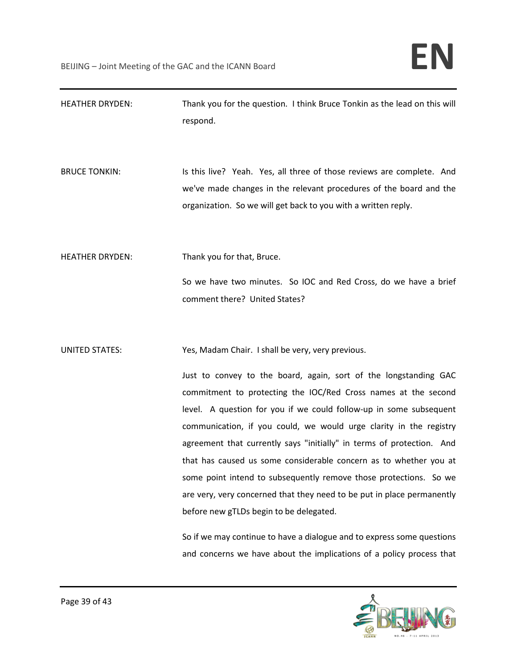| <b>HEATHER DRYDEN:</b> | Thank you for the question. I think Bruce Tonkin as the lead on this will<br>respond.                                                                                                                                                                                                                                                                                                                                                                                                                                                                                                                                                                                                                                                                                                                                         |
|------------------------|-------------------------------------------------------------------------------------------------------------------------------------------------------------------------------------------------------------------------------------------------------------------------------------------------------------------------------------------------------------------------------------------------------------------------------------------------------------------------------------------------------------------------------------------------------------------------------------------------------------------------------------------------------------------------------------------------------------------------------------------------------------------------------------------------------------------------------|
| <b>BRUCE TONKIN:</b>   | Is this live? Yeah. Yes, all three of those reviews are complete. And<br>we've made changes in the relevant procedures of the board and the<br>organization. So we will get back to you with a written reply.                                                                                                                                                                                                                                                                                                                                                                                                                                                                                                                                                                                                                 |
| <b>HEATHER DRYDEN:</b> | Thank you for that, Bruce.<br>So we have two minutes. So IOC and Red Cross, do we have a brief<br>comment there? United States?                                                                                                                                                                                                                                                                                                                                                                                                                                                                                                                                                                                                                                                                                               |
| <b>UNITED STATES:</b>  | Yes, Madam Chair. I shall be very, very previous.<br>Just to convey to the board, again, sort of the longstanding GAC<br>commitment to protecting the IOC/Red Cross names at the second<br>level. A question for you if we could follow-up in some subsequent<br>communication, if you could, we would urge clarity in the registry<br>agreement that currently says "initially" in terms of protection. And<br>that has caused us some considerable concern as to whether you at<br>some point intend to subsequently remove those protections. So we<br>are very, very concerned that they need to be put in place permanently<br>before new gTLDs begin to be delegated.<br>So if we may continue to have a dialogue and to express some questions<br>and concerns we have about the implications of a policy process that |

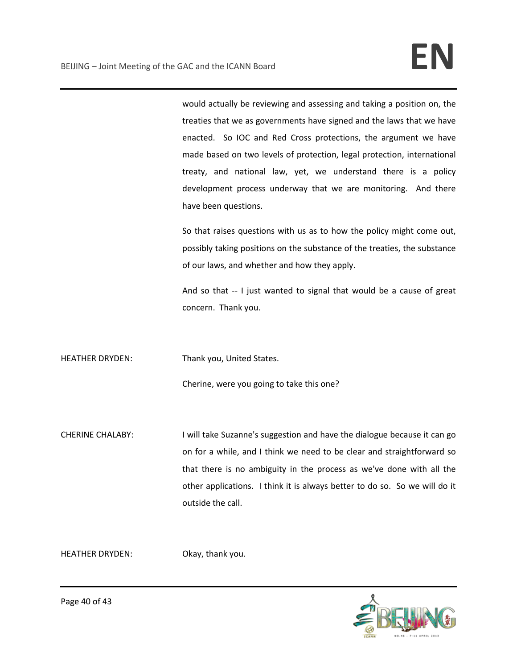would actually be reviewing and assessing and taking a position on, the treaties that we as governments have signed and the laws that we have enacted. So IOC and Red Cross protections, the argument we have made based on two levels of protection, legal protection, international treaty, and national law, yet, we understand there is a policy development process underway that we are monitoring. And there have been questions.

So that raises questions with us as to how the policy might come out, possibly taking positions on the substance of the treaties, the substance of our laws, and whether and how they apply.

And so that -- I just wanted to signal that would be a cause of great concern. Thank you.

HEATHER DRYDEN: Thank you, United States.

Cherine, were you going to take this one?

CHERINE CHALABY: I will take Suzanne's suggestion and have the dialogue because it can go on for a while, and I think we need to be clear and straightforward so that there is no ambiguity in the process as we've done with all the other applications. I think it is always better to do so. So we will do it outside the call.

HEATHER DRYDEN: Okay, thank you.

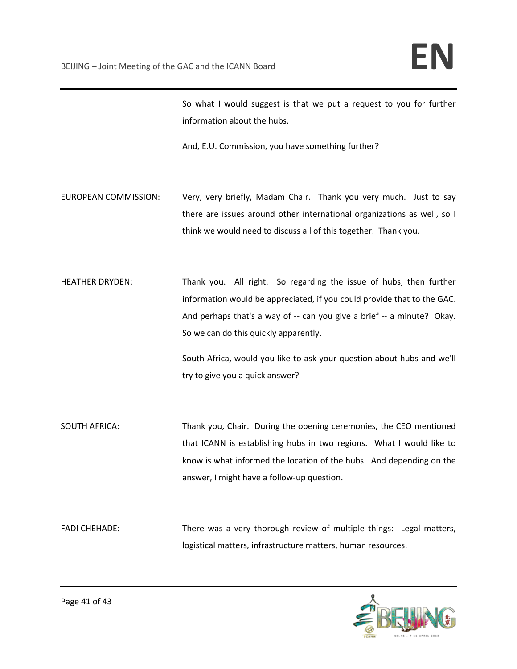So what I would suggest is that we put a request to you for further information about the hubs.

And, E.U. Commission, you have something further?

EUROPEAN COMMISSION: Very, very briefly, Madam Chair. Thank you very much. Just to say there are issues around other international organizations as well, so I think we would need to discuss all of this together. Thank you.

HEATHER DRYDEN: Thank you. All right. So regarding the issue of hubs, then further information would be appreciated, if you could provide that to the GAC. And perhaps that's a way of -- can you give a brief -- a minute? Okay. So we can do this quickly apparently.

> South Africa, would you like to ask your question about hubs and we'll try to give you a quick answer?

SOUTH AFRICA: Thank you, Chair. During the opening ceremonies, the CEO mentioned that ICANN is establishing hubs in two regions. What I would like to know is what informed the location of the hubs. And depending on the answer, I might have a follow-up question.

FADI CHEHADE: There was a very thorough review of multiple things: Legal matters, logistical matters, infrastructure matters, human resources.

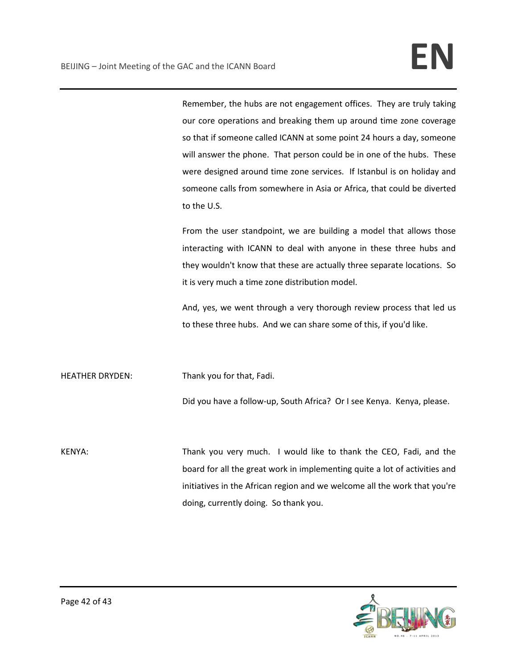Remember, the hubs are not engagement offices. They are truly taking our core operations and breaking them up around time zone coverage so that if someone called ICANN at some point 24 hours a day, someone will answer the phone. That person could be in one of the hubs. These were designed around time zone services. If Istanbul is on holiday and someone calls from somewhere in Asia or Africa, that could be diverted to the U.S.

From the user standpoint, we are building a model that allows those interacting with ICANN to deal with anyone in these three hubs and they wouldn't know that these are actually three separate locations. So it is very much a time zone distribution model.

And, yes, we went through a very thorough review process that led us to these three hubs. And we can share some of this, if you'd like.

HEATHER DRYDEN: Thank you for that, Fadi.

Did you have a follow-up, South Africa? Or I see Kenya. Kenya, please.

KENYA: Thank you very much. I would like to thank the CEO, Fadi, and the board for all the great work in implementing quite a lot of activities and initiatives in the African region and we welcome all the work that you're doing, currently doing. So thank you.